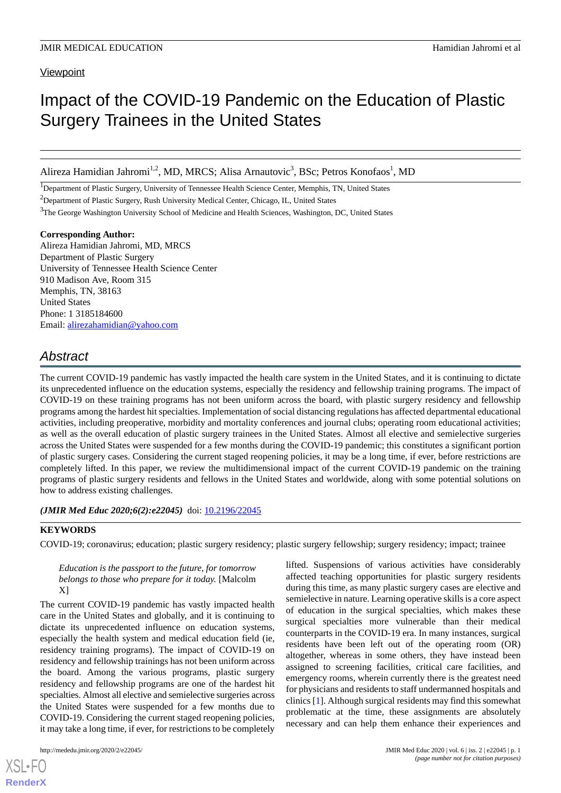## **Viewpoint**

# Impact of the COVID-19 Pandemic on the Education of Plastic Surgery Trainees in the United States

Alireza Hamidian Jahromi<sup>1,2</sup>, MD, MRCS; Alisa Arnautovic<sup>3</sup>, BSc; Petros Konofaos<sup>1</sup>, MD

<sup>1</sup>Department of Plastic Surgery, University of Tennessee Health Science Center, Memphis, TN, United States

<sup>2</sup>Department of Plastic Surgery, Rush University Medical Center, Chicago, IL, United States

<sup>3</sup>The George Washington University School of Medicine and Health Sciences, Washington, DC, United States

#### **Corresponding Author:**

Alireza Hamidian Jahromi, MD, MRCS Department of Plastic Surgery University of Tennessee Health Science Center 910 Madison Ave, Room 315 Memphis, TN, 38163 United States Phone: 1 3185184600 Email: [alirezahamidian@yahoo.com](mailto:alirezahamidian@yahoo.com)

## *Abstract*

The current COVID-19 pandemic has vastly impacted the health care system in the United States, and it is continuing to dictate its unprecedented influence on the education systems, especially the residency and fellowship training programs. The impact of COVID-19 on these training programs has not been uniform across the board, with plastic surgery residency and fellowship programs among the hardest hit specialties. Implementation of social distancing regulations has affected departmental educational activities, including preoperative, morbidity and mortality conferences and journal clubs; operating room educational activities; as well as the overall education of plastic surgery trainees in the United States. Almost all elective and semielective surgeries across the United States were suspended for a few months during the COVID-19 pandemic; this constitutes a significant portion of plastic surgery cases. Considering the current staged reopening policies, it may be a long time, if ever, before restrictions are completely lifted. In this paper, we review the multidimensional impact of the current COVID-19 pandemic on the training programs of plastic surgery residents and fellows in the United States and worldwide, along with some potential solutions on how to address existing challenges.

## *(JMIR Med Educ 2020;6(2):e22045)* doi: [10.2196/22045](http://dx.doi.org/10.2196/22045)

## **KEYWORDS**

COVID-19; coronavirus; education; plastic surgery residency; plastic surgery fellowship; surgery residency; impact; trainee

*Education is the passport to the future, for tomorrow belongs to those who prepare for it today.* [Malcolm X]

The current COVID-19 pandemic has vastly impacted health care in the United States and globally, and it is continuing to dictate its unprecedented influence on education systems, especially the health system and medical education field (ie, residency training programs). The impact of COVID-19 on residency and fellowship trainings has not been uniform across the board. Among the various programs, plastic surgery residency and fellowship programs are one of the hardest hit specialties. Almost all elective and semielective surgeries across the United States were suspended for a few months due to COVID-19. Considering the current staged reopening policies, it may take a long time, if ever, for restrictions to be completely

[XSL](http://www.w3.org/Style/XSL)•FO **[RenderX](http://www.renderx.com/)**

lifted. Suspensions of various activities have considerably affected teaching opportunities for plastic surgery residents during this time, as many plastic surgery cases are elective and semielective in nature. Learning operative skills is a core aspect of education in the surgical specialties, which makes these surgical specialties more vulnerable than their medical counterparts in the COVID-19 era. In many instances, surgical residents have been left out of the operating room (OR) altogether, whereas in some others, they have instead been assigned to screening facilities, critical care facilities, and emergency rooms, wherein currently there is the greatest need for physicians and residents to staff undermanned hospitals and clinics [\[1](#page-4-0)]. Although surgical residents may find this somewhat problematic at the time, these assignments are absolutely necessary and can help them enhance their experiences and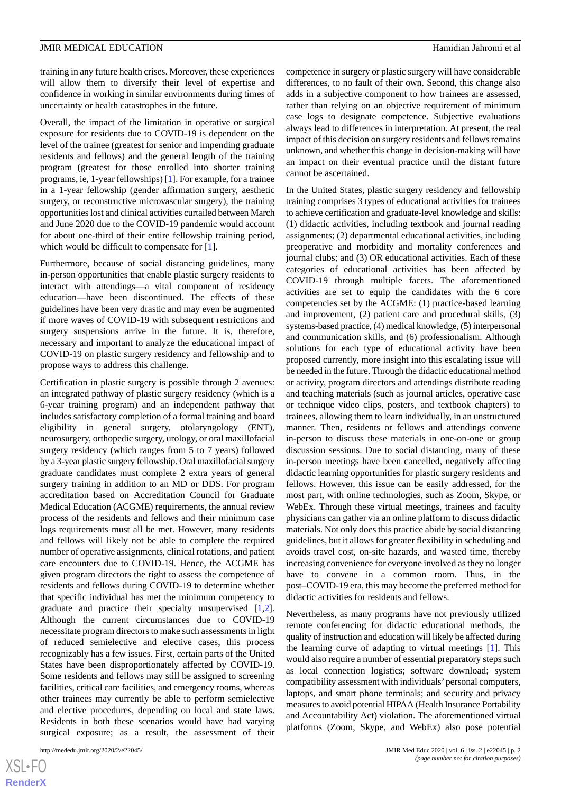training in any future health crises. Moreover, these experiences will allow them to diversify their level of expertise and confidence in working in similar environments during times of uncertainty or health catastrophes in the future.

Overall, the impact of the limitation in operative or surgical exposure for residents due to COVID-19 is dependent on the level of the trainee (greatest for senior and impending graduate residents and fellows) and the general length of the training program (greatest for those enrolled into shorter training programs, ie, 1-year fellowships) [\[1](#page-4-0)]. For example, for a trainee in a 1-year fellowship (gender affirmation surgery, aesthetic surgery, or reconstructive microvascular surgery), the training opportunities lost and clinical activities curtailed between March and June 2020 due to the COVID-19 pandemic would account for about one-third of their entire fellowship training period, which would be difficult to compensate for [[1\]](#page-4-0).

Furthermore, because of social distancing guidelines, many in-person opportunities that enable plastic surgery residents to interact with attendings—a vital component of residency education—have been discontinued. The effects of these guidelines have been very drastic and may even be augmented if more waves of COVID-19 with subsequent restrictions and surgery suspensions arrive in the future. It is, therefore, necessary and important to analyze the educational impact of COVID-19 on plastic surgery residency and fellowship and to propose ways to address this challenge.

Certification in plastic surgery is possible through 2 avenues: an integrated pathway of plastic surgery residency (which is a 6-year training program) and an independent pathway that includes satisfactory completion of a formal training and board eligibility in general surgery, otolaryngology (ENT), neurosurgery, orthopedic surgery, urology, or oral maxillofacial surgery residency (which ranges from 5 to 7 years) followed by a 3-year plastic surgery fellowship. Oral maxillofacial surgery graduate candidates must complete 2 extra years of general surgery training in addition to an MD or DDS. For program accreditation based on Accreditation Council for Graduate Medical Education (ACGME) requirements, the annual review process of the residents and fellows and their minimum case logs requirements must all be met. However, many residents and fellows will likely not be able to complete the required number of operative assignments, clinical rotations, and patient care encounters due to COVID-19. Hence, the ACGME has given program directors the right to assess the competence of residents and fellows during COVID-19 to determine whether that specific individual has met the minimum competency to graduate and practice their specialty unsupervised [\[1](#page-4-0),[2\]](#page-4-1). Although the current circumstances due to COVID-19 necessitate program directors to make such assessments in light of reduced semielective and elective cases, this process recognizably has a few issues. First, certain parts of the United States have been disproportionately affected by COVID-19. Some residents and fellows may still be assigned to screening facilities, critical care facilities, and emergency rooms, whereas other trainees may currently be able to perform semielective and elective procedures, depending on local and state laws. Residents in both these scenarios would have had varying surgical exposure; as a result, the assessment of their

[XSL](http://www.w3.org/Style/XSL)•FO **[RenderX](http://www.renderx.com/)** competence in surgery or plastic surgery will have considerable differences, to no fault of their own. Second, this change also adds in a subjective component to how trainees are assessed, rather than relying on an objective requirement of minimum case logs to designate competence. Subjective evaluations always lead to differences in interpretation. At present, the real impact of this decision on surgery residents and fellows remains unknown, and whether this change in decision-making will have an impact on their eventual practice until the distant future cannot be ascertained.

In the United States, plastic surgery residency and fellowship training comprises 3 types of educational activities for trainees to achieve certification and graduate-level knowledge and skills: (1) didactic activities, including textbook and journal reading assignments; (2) departmental educational activities, including preoperative and morbidity and mortality conferences and journal clubs; and (3) OR educational activities. Each of these categories of educational activities has been affected by COVID-19 through multiple facets. The aforementioned activities are set to equip the candidates with the 6 core competencies set by the ACGME: (1) practice-based learning and improvement, (2) patient care and procedural skills, (3) systems-based practice, (4) medical knowledge, (5) interpersonal and communication skills, and (6) professionalism. Although solutions for each type of educational activity have been proposed currently, more insight into this escalating issue will be needed in the future. Through the didactic educational method or activity, program directors and attendings distribute reading and teaching materials (such as journal articles, operative case or technique video clips, posters, and textbook chapters) to trainees, allowing them to learn individually, in an unstructured manner. Then, residents or fellows and attendings convene in-person to discuss these materials in one-on-one or group discussion sessions. Due to social distancing, many of these in-person meetings have been cancelled, negatively affecting didactic learning opportunities for plastic surgery residents and fellows. However, this issue can be easily addressed, for the most part, with online technologies, such as Zoom, Skype, or WebEx. Through these virtual meetings, trainees and faculty physicians can gather via an online platform to discuss didactic materials. Not only does this practice abide by social distancing guidelines, but it allows for greater flexibility in scheduling and avoids travel cost, on-site hazards, and wasted time, thereby increasing convenience for everyone involved as they no longer have to convene in a common room. Thus, in the post–COVID-19 era, this may become the preferred method for didactic activities for residents and fellows.

Nevertheless, as many programs have not previously utilized remote conferencing for didactic educational methods, the quality of instruction and education will likely be affected during the learning curve of adapting to virtual meetings [[1\]](#page-4-0). This would also require a number of essential preparatory steps such as local connection logistics; software download; system compatibility assessment with individuals'personal computers, laptops, and smart phone terminals; and security and privacy measures to avoid potential HIPAA (Health Insurance Portability and Accountability Act) violation. The aforementioned virtual platforms (Zoom, Skype, and WebEx) also pose potential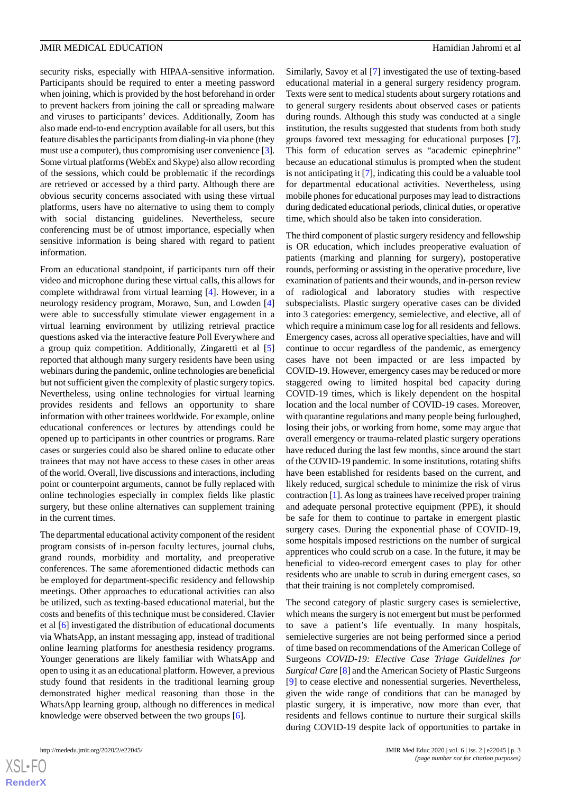security risks, especially with HIPAA-sensitive information. Participants should be required to enter a meeting password when joining, which is provided by the host beforehand in order to prevent hackers from joining the call or spreading malware and viruses to participants' devices. Additionally, Zoom has also made end-to-end encryption available for all users, but this feature disables the participants from dialing-in via phone (they must use a computer), thus compromising user convenience [[3\]](#page-4-2). Some virtual platforms (WebEx and Skype) also allow recording of the sessions, which could be problematic if the recordings are retrieved or accessed by a third party. Although there are obvious security concerns associated with using these virtual platforms, users have no alternative to using them to comply with social distancing guidelines. Nevertheless, secure conferencing must be of utmost importance, especially when sensitive information is being shared with regard to patient information.

From an educational standpoint, if participants turn off their video and microphone during these virtual calls, this allows for complete withdrawal from virtual learning [\[4](#page-4-3)]. However, in a neurology residency program, Morawo, Sun, and Lowden [\[4](#page-4-3)] were able to successfully stimulate viewer engagement in a virtual learning environment by utilizing retrieval practice questions asked via the interactive feature Poll Everywhere and a group quiz competition. Additionally, Zingaretti et al [\[5](#page-4-4)] reported that although many surgery residents have been using webinars during the pandemic, online technologies are beneficial but not sufficient given the complexity of plastic surgery topics. Nevertheless, using online technologies for virtual learning provides residents and fellows an opportunity to share information with other trainees worldwide. For example, online educational conferences or lectures by attendings could be opened up to participants in other countries or programs. Rare cases or surgeries could also be shared online to educate other trainees that may not have access to these cases in other areas of the world. Overall, live discussions and interactions, including point or counterpoint arguments, cannot be fully replaced with online technologies especially in complex fields like plastic surgery, but these online alternatives can supplement training in the current times.

The departmental educational activity component of the resident program consists of in-person faculty lectures, journal clubs, grand rounds, morbidity and mortality, and preoperative conferences. The same aforementioned didactic methods can be employed for department-specific residency and fellowship meetings. Other approaches to educational activities can also be utilized, such as texting-based educational material, but the costs and benefits of this technique must be considered. Clavier et al [\[6](#page-4-5)] investigated the distribution of educational documents via WhatsApp, an instant messaging app, instead of traditional online learning platforms for anesthesia residency programs. Younger generations are likely familiar with WhatsApp and open to using it as an educational platform. However, a previous study found that residents in the traditional learning group demonstrated higher medical reasoning than those in the WhatsApp learning group, although no differences in medical knowledge were observed between the two groups [\[6](#page-4-5)].

Similarly, Savoy et al [[7\]](#page-4-6) investigated the use of texting-based educational material in a general surgery residency program. Texts were sent to medical students about surgery rotations and to general surgery residents about observed cases or patients during rounds. Although this study was conducted at a single institution, the results suggested that students from both study groups favored text messaging for educational purposes [[7\]](#page-4-6). This form of education serves as "academic epinephrine" because an educational stimulus is prompted when the student is not anticipating it [[7\]](#page-4-6), indicating this could be a valuable tool for departmental educational activities. Nevertheless, using mobile phones for educational purposes may lead to distractions during dedicated educational periods, clinical duties, or operative time, which should also be taken into consideration.

The third component of plastic surgery residency and fellowship is OR education, which includes preoperative evaluation of patients (marking and planning for surgery), postoperative rounds, performing or assisting in the operative procedure, live examination of patients and their wounds, and in-person review of radiological and laboratory studies with respective subspecialists. Plastic surgery operative cases can be divided into 3 categories: emergency, semielective, and elective, all of which require a minimum case log for all residents and fellows. Emergency cases, across all operative specialties, have and will continue to occur regardless of the pandemic, as emergency cases have not been impacted or are less impacted by COVID-19. However, emergency cases may be reduced or more staggered owing to limited hospital bed capacity during COVID-19 times, which is likely dependent on the hospital location and the local number of COVID-19 cases. Moreover, with quarantine regulations and many people being furloughed, losing their jobs, or working from home, some may argue that overall emergency or trauma-related plastic surgery operations have reduced during the last few months, since around the start of the COVID-19 pandemic. In some institutions, rotating shifts have been established for residents based on the current, and likely reduced, surgical schedule to minimize the risk of virus contraction [[1\]](#page-4-0). As long as trainees have received proper training and adequate personal protective equipment (PPE), it should be safe for them to continue to partake in emergent plastic surgery cases. During the exponential phase of COVID-19, some hospitals imposed restrictions on the number of surgical apprentices who could scrub on a case. In the future, it may be beneficial to video-record emergent cases to play for other residents who are unable to scrub in during emergent cases, so that their training is not completely compromised.

The second category of plastic surgery cases is semielective, which means the surgery is not emergent but must be performed to save a patient's life eventually. In many hospitals, semielective surgeries are not being performed since a period of time based on recommendations of the American College of Surgeons *COVID-19: Elective Case Triage Guidelines for Surgical Care* [[8\]](#page-4-7) and the American Society of Plastic Surgeons [[9\]](#page-4-8) to cease elective and nonessential surgeries. Nevertheless, given the wide range of conditions that can be managed by plastic surgery, it is imperative, now more than ever, that residents and fellows continue to nurture their surgical skills during COVID-19 despite lack of opportunities to partake in

 $XS$ -FO **[RenderX](http://www.renderx.com/)**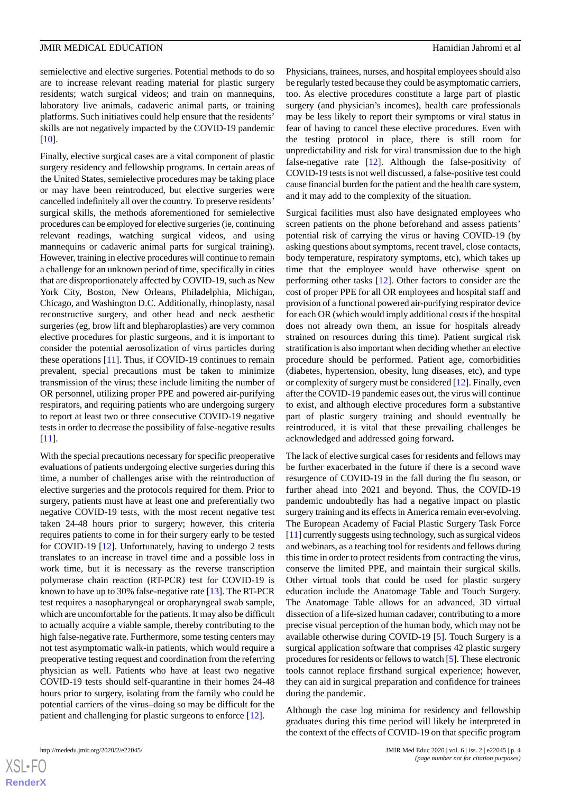[[10\]](#page-4-9).

semielective and elective surgeries. Potential methods to do so are to increase relevant reading material for plastic surgery residents; watch surgical videos; and train on mannequins, laboratory live animals, cadaveric animal parts, or training platforms. Such initiatives could help ensure that the residents' skills are not negatively impacted by the COVID-19 pandemic

Finally, elective surgical cases are a vital component of plastic surgery residency and fellowship programs. In certain areas of the United States, semielective procedures may be taking place or may have been reintroduced, but elective surgeries were cancelled indefinitely all over the country. To preserve residents' surgical skills, the methods aforementioned for semielective procedures can be employed for elective surgeries (ie, continuing relevant readings, watching surgical videos, and using mannequins or cadaveric animal parts for surgical training). However, training in elective procedures will continue to remain a challenge for an unknown period of time, specifically in cities that are disproportionately affected by COVID-19, such as New York City, Boston, New Orleans, Philadelphia, Michigan, Chicago, and Washington D.C. Additionally, rhinoplasty, nasal reconstructive surgery, and other head and neck aesthetic surgeries (eg, brow lift and blepharoplasties) are very common elective procedures for plastic surgeons, and it is important to consider the potential aerosolization of virus particles during these operations [\[11](#page-4-10)]. Thus, if COVID-19 continues to remain prevalent, special precautions must be taken to minimize transmission of the virus; these include limiting the number of OR personnel, utilizing proper PPE and powered air-purifying respirators, and requiring patients who are undergoing surgery to report at least two or three consecutive COVID-19 negative tests in order to decrease the possibility of false-negative results [[11\]](#page-4-10).

With the special precautions necessary for specific preoperative evaluations of patients undergoing elective surgeries during this time, a number of challenges arise with the reintroduction of elective surgeries and the protocols required for them. Prior to surgery, patients must have at least one and preferentially two negative COVID-19 tests, with the most recent negative test taken 24-48 hours prior to surgery; however, this criteria requires patients to come in for their surgery early to be tested for COVID-19 [\[12](#page-4-11)]. Unfortunately, having to undergo 2 tests translates to an increase in travel time and a possible loss in work time, but it is necessary as the reverse transcription polymerase chain reaction (RT-PCR) test for COVID-19 is known to have up to 30% false-negative rate [\[13](#page-4-12)]. The RT-PCR test requires a nasopharyngeal or oropharyngeal swab sample, which are uncomfortable for the patients. It may also be difficult to actually acquire a viable sample, thereby contributing to the high false-negative rate. Furthermore, some testing centers may not test asymptomatic walk-in patients, which would require a preoperative testing request and coordination from the referring physician as well. Patients who have at least two negative COVID-19 tests should self-quarantine in their homes 24-48 hours prior to surgery, isolating from the family who could be potential carriers of the virus–doing so may be difficult for the patient and challenging for plastic surgeons to enforce [\[12](#page-4-11)].

Physicians, trainees, nurses, and hospital employees should also be regularly tested because they could be asymptomatic carriers, too. As elective procedures constitute a large part of plastic surgery (and physician's incomes), health care professionals may be less likely to report their symptoms or viral status in fear of having to cancel these elective procedures. Even with the testing protocol in place, there is still room for unpredictability and risk for viral transmission due to the high false-negative rate [\[12](#page-4-11)]. Although the false-positivity of COVID-19 tests is not well discussed, a false-positive test could cause financial burden for the patient and the health care system, and it may add to the complexity of the situation.

Surgical facilities must also have designated employees who screen patients on the phone beforehand and assess patients' potential risk of carrying the virus or having COVID-19 (by asking questions about symptoms, recent travel, close contacts, body temperature, respiratory symptoms, etc), which takes up time that the employee would have otherwise spent on performing other tasks [[12\]](#page-4-11). Other factors to consider are the cost of proper PPE for all OR employees and hospital staff and provision of a functional powered air-purifying respirator device for each OR (which would imply additional costs if the hospital does not already own them, an issue for hospitals already strained on resources during this time). Patient surgical risk stratification is also important when deciding whether an elective procedure should be performed. Patient age, comorbidities (diabetes, hypertension, obesity, lung diseases, etc), and type or complexity of surgery must be considered [\[12](#page-4-11)]. Finally, even after the COVID-19 pandemic eases out, the virus will continue to exist, and although elective procedures form a substantive part of plastic surgery training and should eventually be reintroduced, it is vital that these prevailing challenges be acknowledged and addressed going forward**.**

The lack of elective surgical cases for residents and fellows may be further exacerbated in the future if there is a second wave resurgence of COVID-19 in the fall during the flu season, or further ahead into 2021 and beyond. Thus, the COVID-19 pandemic undoubtedly has had a negative impact on plastic surgery training and its effects in America remain ever-evolving. The European Academy of Facial Plastic Surgery Task Force [[11\]](#page-4-10) currently suggests using technology, such as surgical videos and webinars, as a teaching tool for residents and fellows during this time in order to protect residents from contracting the virus, conserve the limited PPE, and maintain their surgical skills. Other virtual tools that could be used for plastic surgery education include the Anatomage Table and Touch Surgery. The Anatomage Table allows for an advanced, 3D virtual dissection of a life-sized human cadaver, contributing to a more precise visual perception of the human body, which may not be available otherwise during COVID-19 [\[5](#page-4-4)]. Touch Surgery is a surgical application software that comprises 42 plastic surgery procedures for residents or fellows to watch [\[5](#page-4-4)]. These electronic tools cannot replace firsthand surgical experience; however, they can aid in surgical preparation and confidence for trainees during the pandemic.

Although the case log minima for residency and fellowship graduates during this time period will likely be interpreted in the context of the effects of COVID-19 on that specific program

 $XS$  • FO **[RenderX](http://www.renderx.com/)**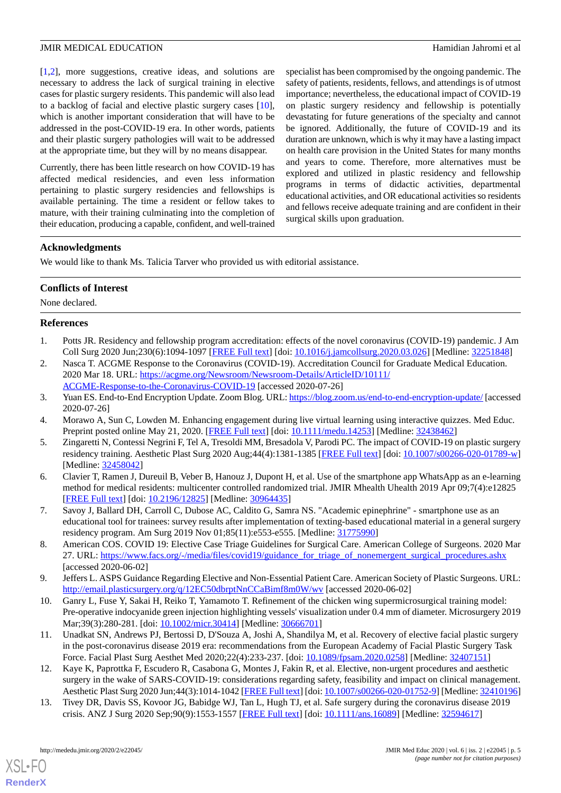[[1](#page-4-0)[,2](#page-4-1)], more suggestions, creative ideas, and solutions are necessary to address the lack of surgical training in elective cases for plastic surgery residents. This pandemic will also lead to a backlog of facial and elective plastic surgery cases [[10\]](#page-4-9), which is another important consideration that will have to be addressed in the post-COVID-19 era. In other words, patients and their plastic surgery pathologies will wait to be addressed at the appropriate time, but they will by no means disappear.

Currently, there has been little research on how COVID-19 has affected medical residencies, and even less information pertaining to plastic surgery residencies and fellowships is available pertaining. The time a resident or fellow takes to mature, with their training culminating into the completion of their education, producing a capable, confident, and well-trained specialist has been compromised by the ongoing pandemic. The safety of patients, residents, fellows, and attendings is of utmost importance; nevertheless, the educational impact of COVID-19 on plastic surgery residency and fellowship is potentially devastating for future generations of the specialty and cannot be ignored. Additionally, the future of COVID-19 and its duration are unknown, which is why it may have a lasting impact on health care provision in the United States for many months and years to come. Therefore, more alternatives must be explored and utilized in plastic residency and fellowship programs in terms of didactic activities, departmental educational activities, and OR educational activities so residents and fellows receive adequate training and are confident in their surgical skills upon graduation.

## **Acknowledgments**

We would like to thank Ms. Talicia Tarver who provided us with editorial assistance.

## **Conflicts of Interest**

<span id="page-4-0"></span>None declared.

## <span id="page-4-1"></span>**References**

- 1. Potts JR. Residency and fellowship program accreditation: effects of the novel coronavirus (COVID-19) pandemic. J Am Coll Surg 2020 Jun;230(6):1094-1097 [\[FREE Full text\]](http://europepmc.org/abstract/MED/32251848) [doi: [10.1016/j.jamcollsurg.2020.03.026\]](http://dx.doi.org/10.1016/j.jamcollsurg.2020.03.026) [Medline: [32251848\]](http://www.ncbi.nlm.nih.gov/entrez/query.fcgi?cmd=Retrieve&db=PubMed&list_uids=32251848&dopt=Abstract)
- <span id="page-4-3"></span><span id="page-4-2"></span>2. Nasca T. ACGME Response to the Coronavirus (COVID-19). Accreditation Council for Graduate Medical Education. 2020 Mar 18. URL: [https://acgme.org/Newsroom/Newsroom-Details/ArticleID/10111/](https://acgme.org/Newsroom/Newsroom-Details/ArticleID/10111/ACGME-Response-to-the-Coronavirus-COVID-19) [ACGME-Response-to-the-Coronavirus-COVID-19](https://acgme.org/Newsroom/Newsroom-Details/ArticleID/10111/ACGME-Response-to-the-Coronavirus-COVID-19) [accessed 2020-07-26]
- <span id="page-4-4"></span>3. Yuan ES. End-to-End Encryption Update. Zoom Blog. URL:<https://blog.zoom.us/end-to-end-encryption-update/> [accessed 2020-07-26]
- <span id="page-4-5"></span>4. Morawo A, Sun C, Lowden M. Enhancing engagement during live virtual learning using interactive quizzes. Med Educ. Preprint posted online May 21, 2020. [[FREE Full text\]](https://onlinelibrary.wiley.com/doi/full/10.1111/medu.14253) [doi: [10.1111/medu.14253](http://dx.doi.org/10.1111/medu.14253)] [Medline: [32438462\]](http://www.ncbi.nlm.nih.gov/entrez/query.fcgi?cmd=Retrieve&db=PubMed&list_uids=32438462&dopt=Abstract)
- 5. Zingaretti N, Contessi Negrini F, Tel A, Tresoldi MM, Bresadola V, Parodi PC. The impact of COVID-19 on plastic surgery residency training. Aesthetic Plast Surg 2020 Aug;44(4):1381-1385 [\[FREE Full text](http://europepmc.org/abstract/MED/32458042)] [doi: [10.1007/s00266-020-01789-w](http://dx.doi.org/10.1007/s00266-020-01789-w)] [Medline: [32458042](http://www.ncbi.nlm.nih.gov/entrez/query.fcgi?cmd=Retrieve&db=PubMed&list_uids=32458042&dopt=Abstract)]
- <span id="page-4-7"></span><span id="page-4-6"></span>6. Clavier T, Ramen J, Dureuil B, Veber B, Hanouz J, Dupont H, et al. Use of the smartphone app WhatsApp as an e-learning method for medical residents: multicenter controlled randomized trial. JMIR Mhealth Uhealth 2019 Apr 09;7(4):e12825 [[FREE Full text](https://mhealth.jmir.org/2019/4/e12825/)] [doi: [10.2196/12825\]](http://dx.doi.org/10.2196/12825) [Medline: [30964435\]](http://www.ncbi.nlm.nih.gov/entrez/query.fcgi?cmd=Retrieve&db=PubMed&list_uids=30964435&dopt=Abstract)
- <span id="page-4-8"></span>7. Savoy J, Ballard DH, Carroll C, Dubose AC, Caldito G, Samra NS. "Academic epinephrine" - smartphone use as an educational tool for trainees: survey results after implementation of texting-based educational material in a general surgery residency program. Am Surg 2019 Nov 01;85(11):e553-e555. [Medline: [31775990](http://www.ncbi.nlm.nih.gov/entrez/query.fcgi?cmd=Retrieve&db=PubMed&list_uids=31775990&dopt=Abstract)]
- <span id="page-4-9"></span>8. American COS. COVID 19: Elective Case Triage Guidelines for Surgical Care. American College of Surgeons. 2020 Mar 27. URL: [https://www.facs.org/-/media/files/covid19/guidance\\_for\\_triage\\_of\\_nonemergent\\_surgical\\_procedures.ashx](https://www.facs.org/-/media/files/covid19/guidance_for_triage_of_nonemergent_surgical_procedures.ashx) [accessed 2020-06-02]
- <span id="page-4-10"></span>9. Jeffers L. ASPS Guidance Regarding Elective and Non-Essential Patient Care. American Society of Plastic Surgeons. URL: <http://email.plasticsurgery.org/q/12EC50dbrptNnCCaBimf8m0W/wv> [accessed 2020-06-02]
- <span id="page-4-11"></span>10. Ganry L, Fuse Y, Sakai H, Reiko T, Yamamoto T. Refinement of the chicken wing supermicrosurgical training model: Pre-operative indocyanide green injection highlighting vessels' visualization under 0.4 mm of diameter. Microsurgery 2019 Mar;39(3):280-281. [doi: [10.1002/micr.30414\]](http://dx.doi.org/10.1002/micr.30414) [Medline: [30666701](http://www.ncbi.nlm.nih.gov/entrez/query.fcgi?cmd=Retrieve&db=PubMed&list_uids=30666701&dopt=Abstract)]
- <span id="page-4-12"></span>11. Unadkat SN, Andrews PJ, Bertossi D, D'Souza A, Joshi A, Shandilya M, et al. Recovery of elective facial plastic surgery in the post-coronavirus disease 2019 era: recommendations from the European Academy of Facial Plastic Surgery Task Force. Facial Plast Surg Aesthet Med 2020;22(4):233-237. [doi: [10.1089/fpsam.2020.0258\]](http://dx.doi.org/10.1089/fpsam.2020.0258) [Medline: [32407151](http://www.ncbi.nlm.nih.gov/entrez/query.fcgi?cmd=Retrieve&db=PubMed&list_uids=32407151&dopt=Abstract)]
- 12. Kaye K, Paprottka F, Escudero R, Casabona G, Montes J, Fakin R, et al. Elective, non-urgent procedures and aesthetic surgery in the wake of SARS-COVID-19: considerations regarding safety, feasibility and impact on clinical management. Aesthetic Plast Surg 2020 Jun;44(3):1014-1042 [\[FREE Full text](http://europepmc.org/abstract/MED/32410196)] [doi: [10.1007/s00266-020-01752-9](http://dx.doi.org/10.1007/s00266-020-01752-9)] [Medline: [32410196\]](http://www.ncbi.nlm.nih.gov/entrez/query.fcgi?cmd=Retrieve&db=PubMed&list_uids=32410196&dopt=Abstract)
- 13. Tivey DR, Davis SS, Kovoor JG, Babidge WJ, Tan L, Hugh TJ, et al. Safe surgery during the coronavirus disease 2019 crisis. ANZ J Surg 2020 Sep;90(9):1553-1557 [\[FREE Full text\]](http://europepmc.org/abstract/MED/32594617) [doi: [10.1111/ans.16089\]](http://dx.doi.org/10.1111/ans.16089) [Medline: [32594617\]](http://www.ncbi.nlm.nih.gov/entrez/query.fcgi?cmd=Retrieve&db=PubMed&list_uids=32594617&dopt=Abstract)

[XSL](http://www.w3.org/Style/XSL)•FO **[RenderX](http://www.renderx.com/)**